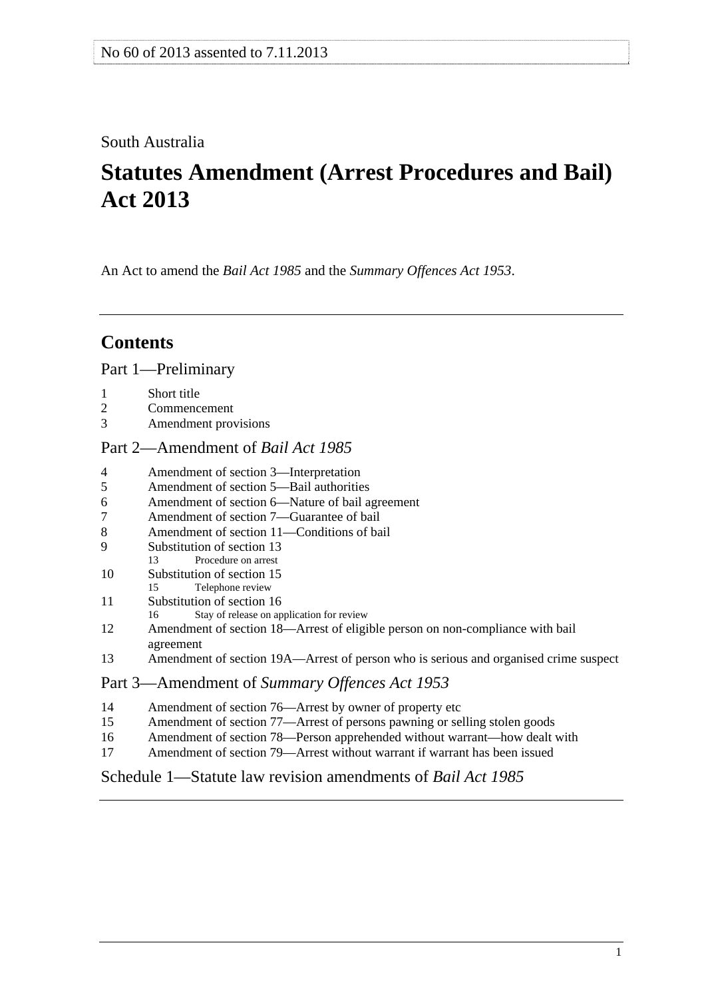## <span id="page-0-0"></span>South Australia

# **Statutes Amendment (Arrest Procedures and Bail) Act 2013**

An Act to amend the *[Bail Act 1985](http://www.legislation.sa.gov.au/index.aspx?action=legref&type=act&legtitle=Bail%20Act%201985)* and the *[Summary Offences Act 1953](http://www.legislation.sa.gov.au/index.aspx?action=legref&type=act&legtitle=Summary%20Offences%20Act%201953)*.

## **Contents**

[Part 1—Preliminary](#page-1-0)

- [1 Short title](#page-1-0)
- [2 Commencement](#page-1-0)
- [3 Amendment provisions](#page-1-0)

## [Part 2—Amendment of](#page-1-0) *Bail Act 1985*

- [4 Amendment of section 3—Interpretation](#page-1-0)
- [5 Amendment of section 5—Bail authorities](#page-1-0)
- [6 Amendment of section 6—Nature of bail agreement](#page-2-0)
- [7 Amendment of section 7—Guarantee of bail](#page-2-0)
- [8 Amendment of section 11—Conditions of bail](#page-2-0)
- [9 Substitution of section 13](#page-2-0)
- [13 Procedure on arrest](#page-0-0)
- [10 Substitution of section 15](#page-3-0)
- [15 Telephone review](#page-0-0)
- [11 Substitution of section 16](#page-5-0)
- [16 Stay of release on application for review](#page-0-0)
- [12 Amendment of section 18—Arrest of eligible person on non-compliance with bail](#page-6-0)  [agreement](#page-6-0)
- [13 Amendment of section 19A—Arrest of person who is serious and organised crime suspect](#page-6-0)

## Part 3—Amendment of *[Summary Offences Act 1953](#page-6-0)*

- [14 Amendment of section 76—Arrest by owner of property etc](#page-6-0)
- [15 Amendment of section 77—Arrest of persons pawning or selling stolen goods](#page-7-0)
- [16 Amendment of section 78—Person apprehended without warrant—how dealt with](#page-7-0)
- [17 Amendment of section 79—Arrest without warrant if warrant has been issued](#page-10-0)

## [Schedule 1—Statute law revision amendments of](#page-10-0) *Bail Act 1985*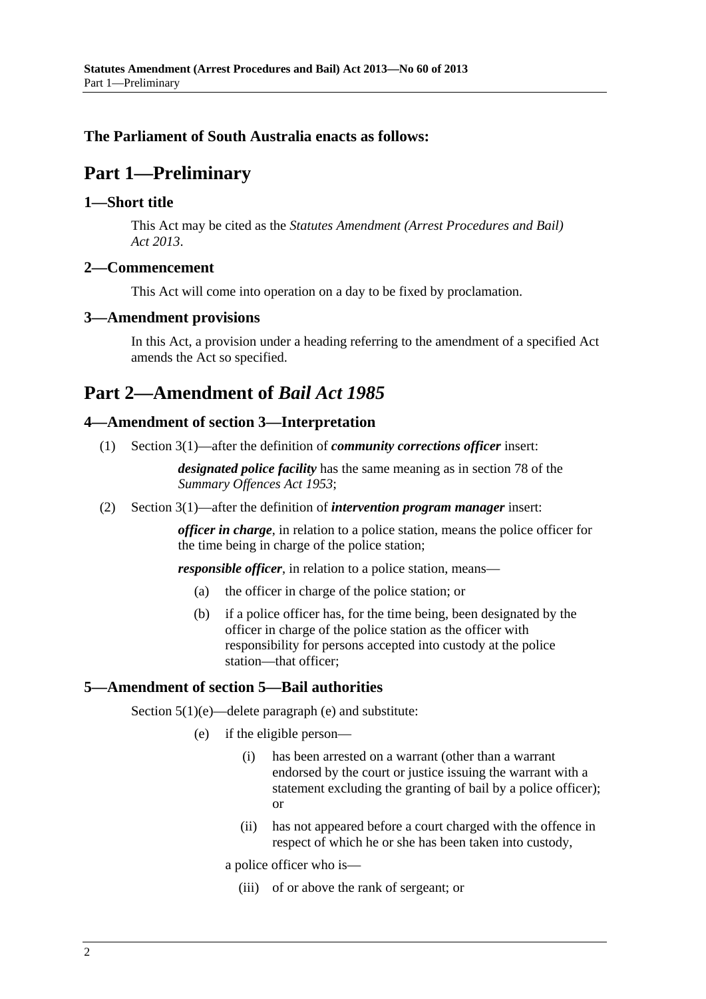## <span id="page-1-0"></span>**The Parliament of South Australia enacts as follows:**

## **Part 1—Preliminary**

#### **1—Short title**

This Act may be cited as the *Statutes Amendment (Arrest Procedures and Bail) Act 2013*.

#### **2—Commencement**

This Act will come into operation on a day to be fixed by proclamation.

#### **3—Amendment provisions**

In this Act, a provision under a heading referring to the amendment of a specified Act amends the Act so specified.

## **Part 2—Amendment of** *Bail Act 1985*

## **4—Amendment of section 3—Interpretation**

(1) Section 3(1)—after the definition of *community corrections officer* insert:

*designated police facility* has the same meaning as in section 78 of the *[Summary Offences Act 1953](http://www.legislation.sa.gov.au/index.aspx?action=legref&type=act&legtitle=Summary%20Offences%20Act%201953)*;

(2) Section 3(1)—after the definition of *intervention program manager* insert:

*officer in charge*, in relation to a police station, means the police officer for the time being in charge of the police station;

*responsible officer*, in relation to a police station, means—

- (a) the officer in charge of the police station; or
- (b) if a police officer has, for the time being, been designated by the officer in charge of the police station as the officer with responsibility for persons accepted into custody at the police station—that officer;

#### **5—Amendment of section 5—Bail authorities**

Section  $5(1)(e)$ —delete paragraph (e) and substitute:

- (e) if the eligible person—
	- (i) has been arrested on a warrant (other than a warrant endorsed by the court or justice issuing the warrant with a statement excluding the granting of bail by a police officer); or
	- (ii) has not appeared before a court charged with the offence in respect of which he or she has been taken into custody,

a police officer who is—

(iii) of or above the rank of sergeant; or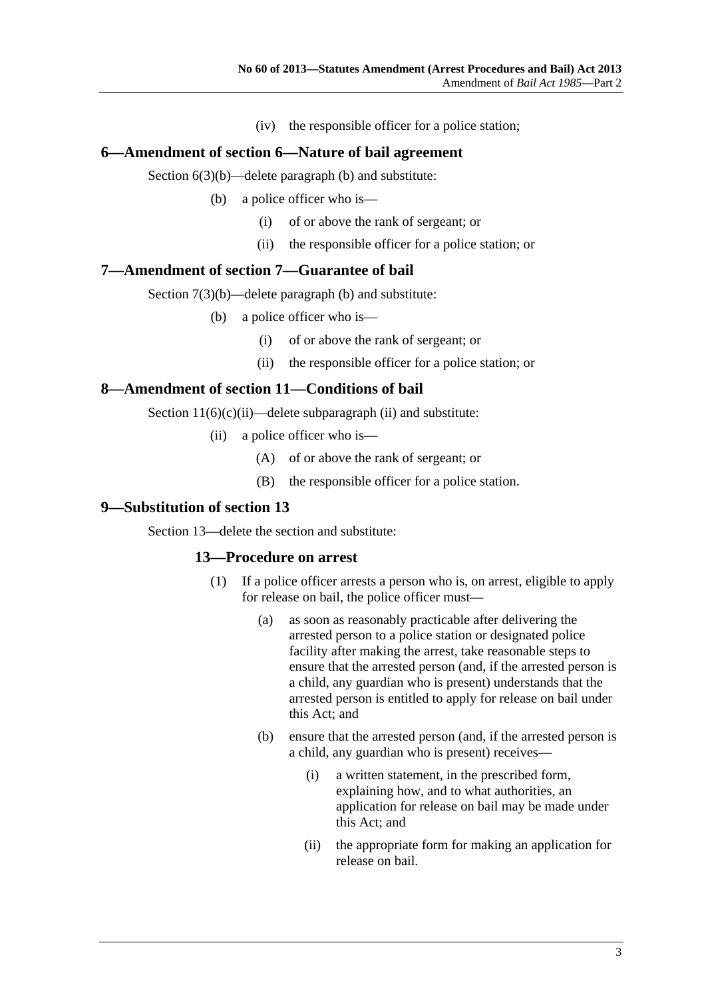(iv) the responsible officer for a police station;

#### <span id="page-2-0"></span>**6—Amendment of section 6—Nature of bail agreement**

Section 6(3)(b)—delete paragraph (b) and substitute:

- (b) a police officer who is—
	- (i) of or above the rank of sergeant; or
	- (ii) the responsible officer for a police station; or

#### **7—Amendment of section 7—Guarantee of bail**

Section 7(3)(b)—delete paragraph (b) and substitute:

- (b) a police officer who is—
	- (i) of or above the rank of sergeant; or
	- (ii) the responsible officer for a police station; or

#### **8—Amendment of section 11—Conditions of bail**

Section  $11(6)(c)(ii)$ —delete subparagraph (ii) and substitute:

- (ii) a police officer who is—
	- (A) of or above the rank of sergeant; or
	- (B) the responsible officer for a police station.

#### **9—Substitution of section 13**

Section 13—delete the section and substitute:

#### **13—Procedure on arrest**

- (1) If a police officer arrests a person who is, on arrest, eligible to apply for release on bail, the police officer must—
	- (a) as soon as reasonably practicable after delivering the arrested person to a police station or designated police facility after making the arrest, take reasonable steps to ensure that the arrested person (and, if the arrested person is a child, any guardian who is present) understands that the arrested person is entitled to apply for release on bail under this Act; and
	- (b) ensure that the arrested person (and, if the arrested person is a child, any guardian who is present) receives—
		- (i) a written statement, in the prescribed form, explaining how, and to what authorities, an application for release on bail may be made under this Act; and
		- (ii) the appropriate form for making an application for release on bail.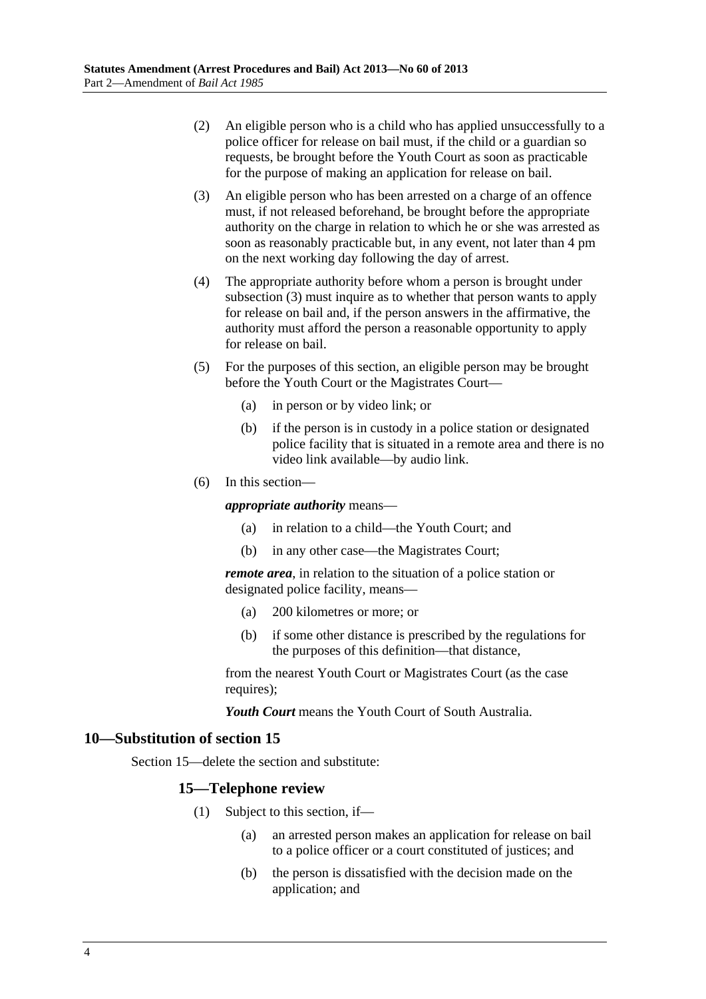- <span id="page-3-0"></span> (2) An eligible person who is a child who has applied unsuccessfully to a police officer for release on bail must, if the child or a guardian so requests, be brought before the Youth Court as soon as practicable for the purpose of making an application for release on bail.
- (3) An eligible person who has been arrested on a charge of an offence must, if not released beforehand, be brought before the appropriate authority on the charge in relation to which he or she was arrested as soon as reasonably practicable but, in any event, not later than 4 pm on the next working day following the day of arrest.
- (4) The appropriate authority before whom a person is brought under [subsection \(3\)](#page-3-0) must inquire as to whether that person wants to apply for release on bail and, if the person answers in the affirmative, the authority must afford the person a reasonable opportunity to apply for release on bail.
- (5) For the purposes of this section, an eligible person may be brought before the Youth Court or the Magistrates Court—
	- (a) in person or by video link; or
	- (b) if the person is in custody in a police station or designated police facility that is situated in a remote area and there is no video link available—by audio link.
- (6) In this section—

#### *appropriate authority* means—

- (a) in relation to a child—the Youth Court; and
- (b) in any other case—the Magistrates Court;

*remote area*, in relation to the situation of a police station or designated police facility, means—

- (a) 200 kilometres or more; or
- (b) if some other distance is prescribed by the regulations for the purposes of this definition—that distance,

from the nearest Youth Court or Magistrates Court (as the case requires);

*Youth Court* means the Youth Court of South Australia.

#### **10—Substitution of section 15**

Section 15—delete the section and substitute:

#### **15—Telephone review**

- (1) Subject to this section, if—
	- (a) an arrested person makes an application for release on bail to a police officer or a court constituted of justices; and
	- (b) the person is dissatisfied with the decision made on the application; and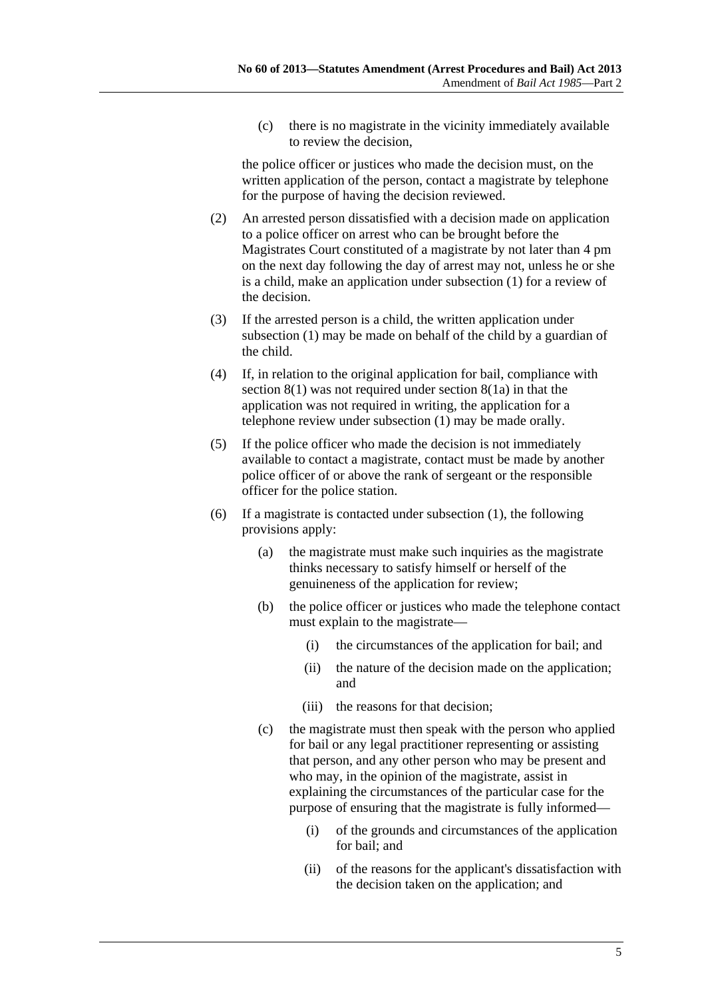<span id="page-4-0"></span> (c) there is no magistrate in the vicinity immediately available to review the decision,

the police officer or justices who made the decision must, on the written application of the person, contact a magistrate by telephone for the purpose of having the decision reviewed.

- (2) An arrested person dissatisfied with a decision made on application to a police officer on arrest who can be brought before the Magistrates Court constituted of a magistrate by not later than 4 pm on the next day following the day of arrest may not, unless he or she is a child, make an application under [subsection \(1\)](#page-3-0) for a review of the decision.
- (3) If the arrested person is a child, the written application under [subsection \(1\)](#page-3-0) may be made on behalf of the child by a guardian of the child.
- (4) If, in relation to the original application for bail, compliance with section 8(1) was not required under section 8(1a) in that the application was not required in writing, the application for a telephone review under [subsection \(1\)](#page-3-0) may be made orally.
- (5) If the police officer who made the decision is not immediately available to contact a magistrate, contact must be made by another police officer of or above the rank of sergeant or the responsible officer for the police station.
- (6) If a magistrate is contacted under [subsection \(1\),](#page-3-0) the following provisions apply:
	- (a) the magistrate must make such inquiries as the magistrate thinks necessary to satisfy himself or herself of the genuineness of the application for review;
	- (b) the police officer or justices who made the telephone contact must explain to the magistrate—
		- (i) the circumstances of the application for bail; and
		- (ii) the nature of the decision made on the application; and
		- (iii) the reasons for that decision;
	- (c) the magistrate must then speak with the person who applied for bail or any legal practitioner representing or assisting that person, and any other person who may be present and who may, in the opinion of the magistrate, assist in explaining the circumstances of the particular case for the purpose of ensuring that the magistrate is fully informed—
		- (i) of the grounds and circumstances of the application for bail; and
		- (ii) of the reasons for the applicant's dissatisfaction with the decision taken on the application; and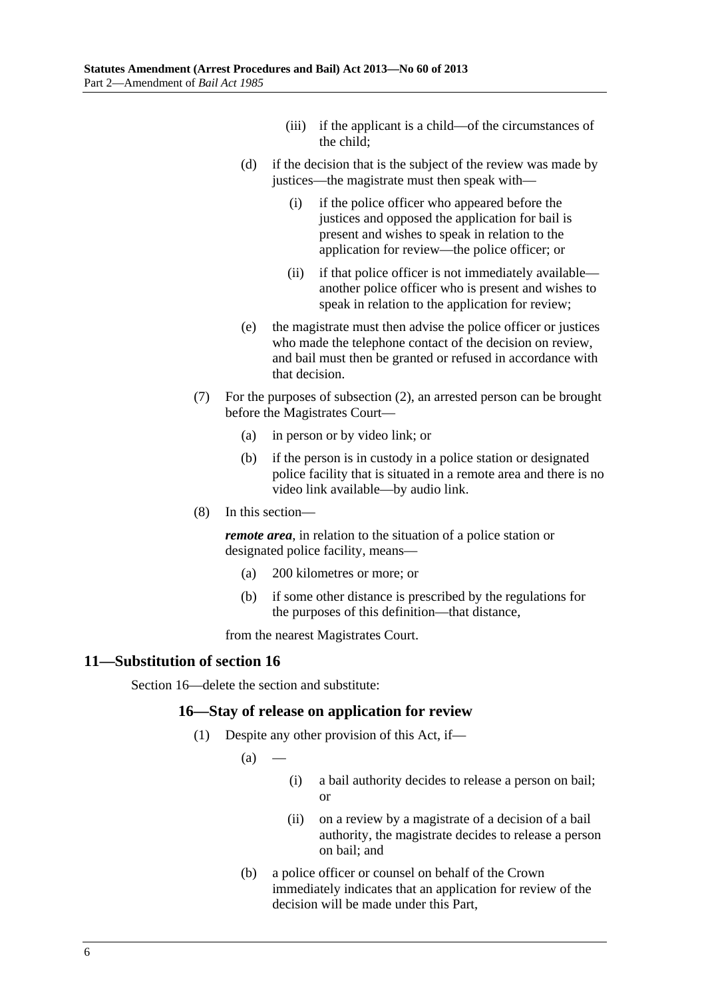- (iii) if the applicant is a child—of the circumstances of the child;
- <span id="page-5-0"></span> (d) if the decision that is the subject of the review was made by justices—the magistrate must then speak with—
	- (i) if the police officer who appeared before the justices and opposed the application for bail is present and wishes to speak in relation to the application for review—the police officer; or
	- (ii) if that police officer is not immediately available another police officer who is present and wishes to speak in relation to the application for review;
- (e) the magistrate must then advise the police officer or justices who made the telephone contact of the decision on review, and bail must then be granted or refused in accordance with that decision.
- (7) For the purposes of [subsection \(2\),](#page-4-0) an arrested person can be brought before the Magistrates Court—
	- (a) in person or by video link; or
	- (b) if the person is in custody in a police station or designated police facility that is situated in a remote area and there is no video link available—by audio link.
- (8) In this section—

*remote area*, in relation to the situation of a police station or designated police facility, means—

- (a) 200 kilometres or more; or
- (b) if some other distance is prescribed by the regulations for the purposes of this definition—that distance,

from the nearest Magistrates Court.

#### **11—Substitution of section 16**

Section 16—delete the section and substitute:

#### **16—Stay of release on application for review**

- (1) Despite any other provision of this Act, if—
	- $(a)$
- (i) a bail authority decides to release a person on bail; or
- (ii) on a review by a magistrate of a decision of a bail authority, the magistrate decides to release a person on bail; and
- (b) a police officer or counsel on behalf of the Crown immediately indicates that an application for review of the decision will be made under this Part,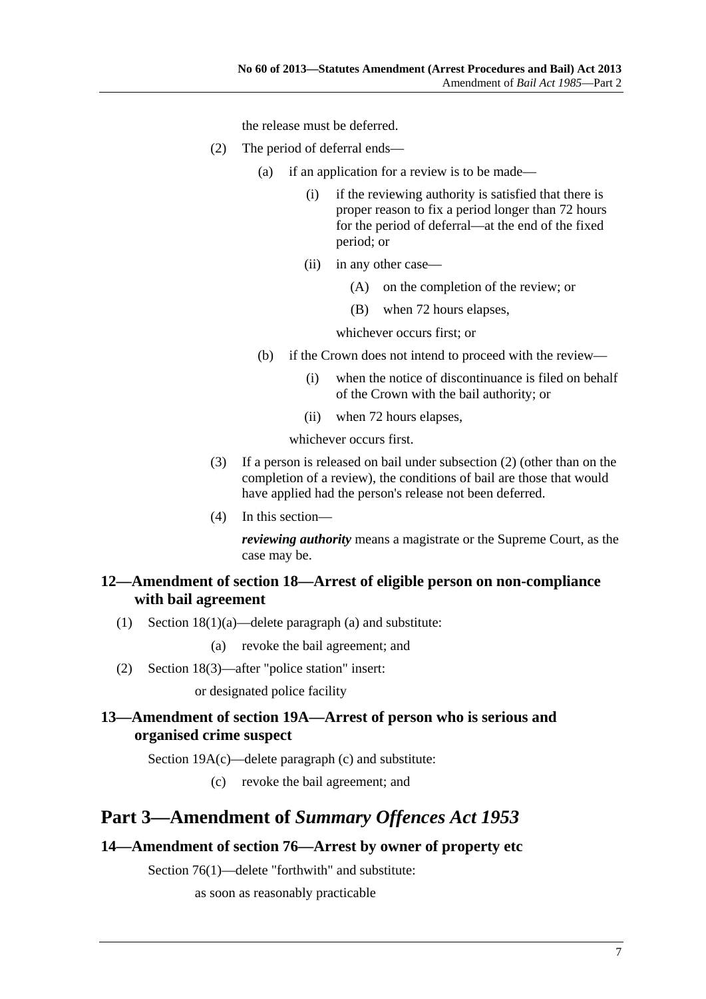the release must be deferred.

- <span id="page-6-0"></span> (2) The period of deferral ends—
	- (a) if an application for a review is to be made—
		- (i) if the reviewing authority is satisfied that there is proper reason to fix a period longer than 72 hours for the period of deferral—at the end of the fixed period; or
		- (ii) in any other case—
			- (A) on the completion of the review; or
			- (B) when 72 hours elapses,

whichever occurs first; or

- (b) if the Crown does not intend to proceed with the review—
	- (i) when the notice of discontinuance is filed on behalf of the Crown with the bail authority; or
	- (ii) when 72 hours elapses,

whichever occurs first.

- (3) If a person is released on bail under [subsection \(2\)](#page-6-0) (other than on the completion of a review), the conditions of bail are those that would have applied had the person's release not been deferred.
- (4) In this section—

*reviewing authority* means a magistrate or the Supreme Court, as the case may be.

## **12—Amendment of section 18—Arrest of eligible person on non-compliance with bail agreement**

(1) Section 18(1)(a)—delete paragraph (a) and substitute:

(a) revoke the bail agreement; and

(2) Section 18(3)—after "police station" insert:

or designated police facility

## **13—Amendment of section 19A—Arrest of person who is serious and organised crime suspect**

Section 19A(c)—delete paragraph (c) and substitute:

(c) revoke the bail agreement; and

## **Part 3—Amendment of** *Summary Offences Act 1953*

## **14—Amendment of section 76—Arrest by owner of property etc**

Section 76(1)—delete "forthwith" and substitute:

as soon as reasonably practicable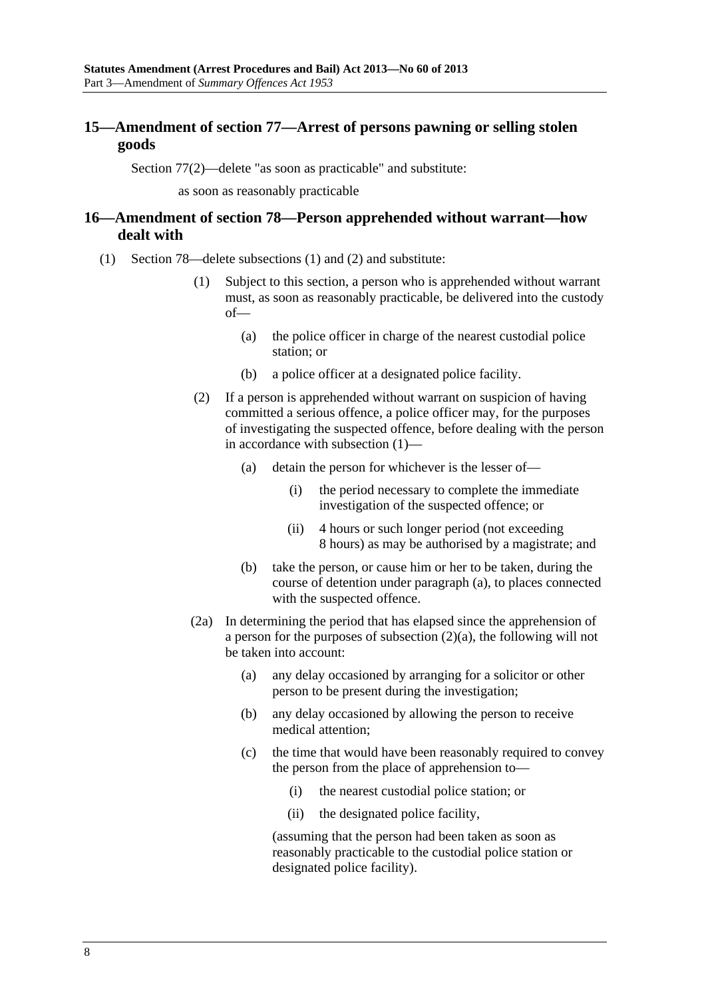## <span id="page-7-0"></span>**15—Amendment of section 77—Arrest of persons pawning or selling stolen goods**

Section 77(2)—delete "as soon as practicable" and substitute:

as soon as reasonably practicable

## **16—Amendment of section 78—Person apprehended without warrant—how dealt with**

- (1) Section 78—delete subsections (1) and (2) and substitute:
	- (1) Subject to this section, a person who is apprehended without warrant must, as soon as reasonably practicable, be delivered into the custody of—
		- (a) the police officer in charge of the nearest custodial police station; or
		- (b) a police officer at a designated police facility.
	- (2) If a person is apprehended without warrant on suspicion of having committed a serious offence, a police officer may, for the purposes of investigating the suspected offence, before dealing with the person in accordance with [subsection \(1\)—](#page-7-0)
		- (a) detain the person for whichever is the lesser of—
			- (i) the period necessary to complete the immediate investigation of the suspected offence; or
			- (ii) 4 hours or such longer period (not exceeding 8 hours) as may be authorised by a magistrate; and
		- (b) take the person, or cause him or her to be taken, during the course of detention under [paragraph \(a\)](#page-7-0), to places connected with the suspected offence.
	- (2a) In determining the period that has elapsed since the apprehension of a person for the purposes of [subsection \(2\)\(a\),](#page-7-0) the following will not be taken into account:
		- (a) any delay occasioned by arranging for a solicitor or other person to be present during the investigation;
		- (b) any delay occasioned by allowing the person to receive medical attention;
		- (c) the time that would have been reasonably required to convey the person from the place of apprehension to—
			- (i) the nearest custodial police station; or
			- (ii) the designated police facility,

(assuming that the person had been taken as soon as reasonably practicable to the custodial police station or designated police facility).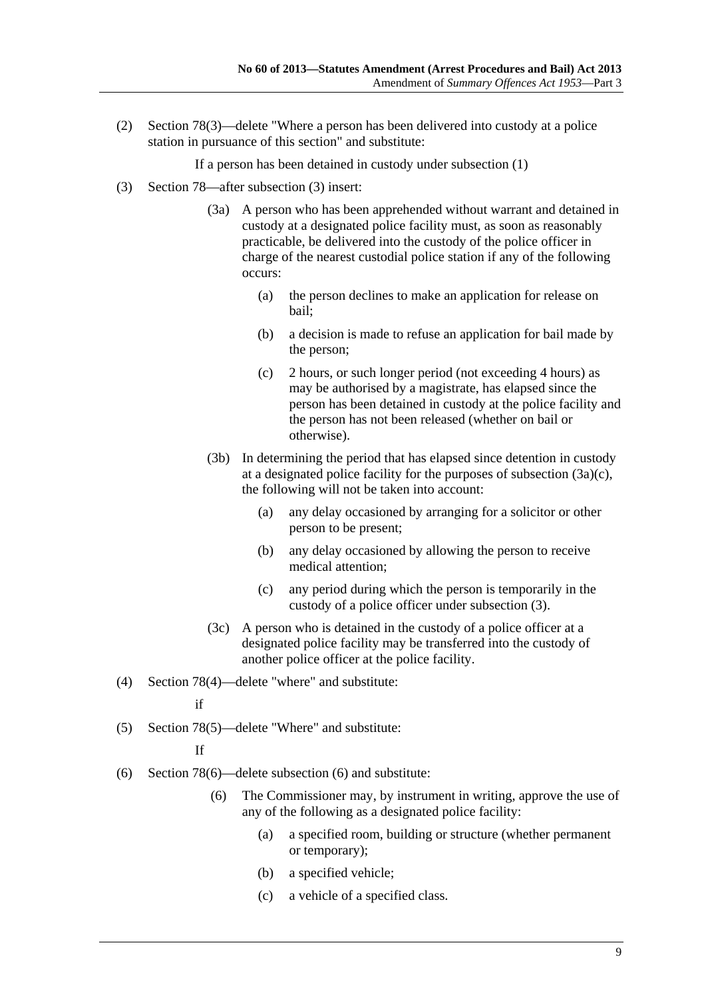<span id="page-8-0"></span> (2) Section 78(3)—delete "Where a person has been delivered into custody at a police station in pursuance of this section" and substitute:

If a person has been detained in custody under subsection (1)

- (3) Section 78—after subsection (3) insert:
	- (3a) A person who has been apprehended without warrant and detained in custody at a designated police facility must, as soon as reasonably practicable, be delivered into the custody of the police officer in charge of the nearest custodial police station if any of the following occurs:
		- (a) the person declines to make an application for release on bail;
		- (b) a decision is made to refuse an application for bail made by the person;
		- (c) 2 hours, or such longer period (not exceeding 4 hours) as may be authorised by a magistrate, has elapsed since the person has been detained in custody at the police facility and the person has not been released (whether on bail or otherwise).
	- (3b) In determining the period that has elapsed since detention in custody at a designated police facility for the purposes of [subsection \(3a\)\(c\),](#page-8-0) the following will not be taken into account:
		- (a) any delay occasioned by arranging for a solicitor or other person to be present;
		- (b) any delay occasioned by allowing the person to receive medical attention;
		- (c) any period during which the person is temporarily in the custody of a police officer under subsection (3).
	- (3c) A person who is detained in the custody of a police officer at a designated police facility may be transferred into the custody of another police officer at the police facility.
- (4) Section 78(4)—delete "where" and substitute:

if

(5) Section 78(5)—delete "Where" and substitute:

If

- (6) Section 78(6)—delete subsection (6) and substitute:
	- (6) The Commissioner may, by instrument in writing, approve the use of any of the following as a designated police facility:
		- (a) a specified room, building or structure (whether permanent or temporary);
		- (b) a specified vehicle;
		- (c) a vehicle of a specified class.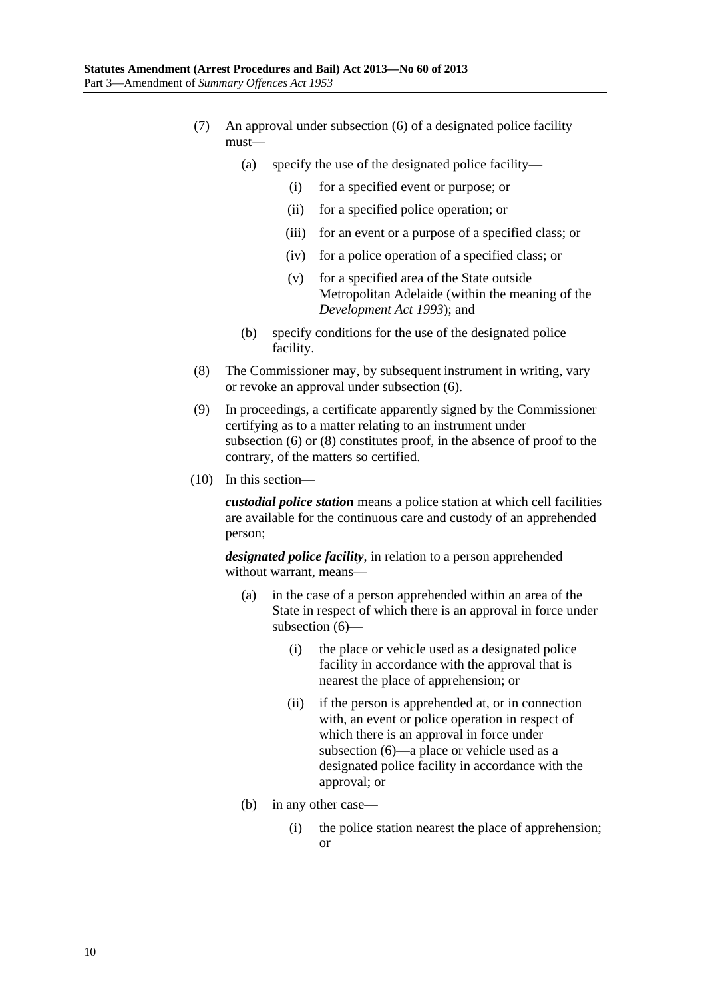- <span id="page-9-0"></span> (7) An approval under [subsection \(6\)](#page-8-0) of a designated police facility must—
	- (a) specify the use of the designated police facility—
		- (i) for a specified event or purpose; or
		- (ii) for a specified police operation; or
		- (iii) for an event or a purpose of a specified class; or
		- (iv) for a police operation of a specified class; or
		- (v) for a specified area of the State outside Metropolitan Adelaide (within the meaning of the *[Development Act 1993](http://www.legislation.sa.gov.au/index.aspx?action=legref&type=act&legtitle=Development%20Act%201993)*); and
	- (b) specify conditions for the use of the designated police facility.
- (8) The Commissioner may, by subsequent instrument in writing, vary or revoke an approval under [subsection \(6\)](#page-8-0).
- (9) In proceedings, a certificate apparently signed by the Commissioner certifying as to a matter relating to an instrument under [subsection \(6\)](#page-8-0) or [\(8\)](#page-9-0) constitutes proof, in the absence of proof to the contrary, of the matters so certified.
- (10) In this section—

*custodial police station* means a police station at which cell facilities are available for the continuous care and custody of an apprehended person;

*designated police facility*, in relation to a person apprehended without warrant, means—

- (a) in the case of a person apprehended within an area of the State in respect of which there is an approval in force under [subsection \(6\)—](#page-8-0)
	- (i) the place or vehicle used as a designated police facility in accordance with the approval that is nearest the place of apprehension; or
	- (ii) if the person is apprehended at, or in connection with, an event or police operation in respect of which there is an approval in force under [subsection \(6\)](#page-8-0)—a place or vehicle used as a designated police facility in accordance with the approval; or
- (b) in any other case—
	- (i) the police station nearest the place of apprehension; or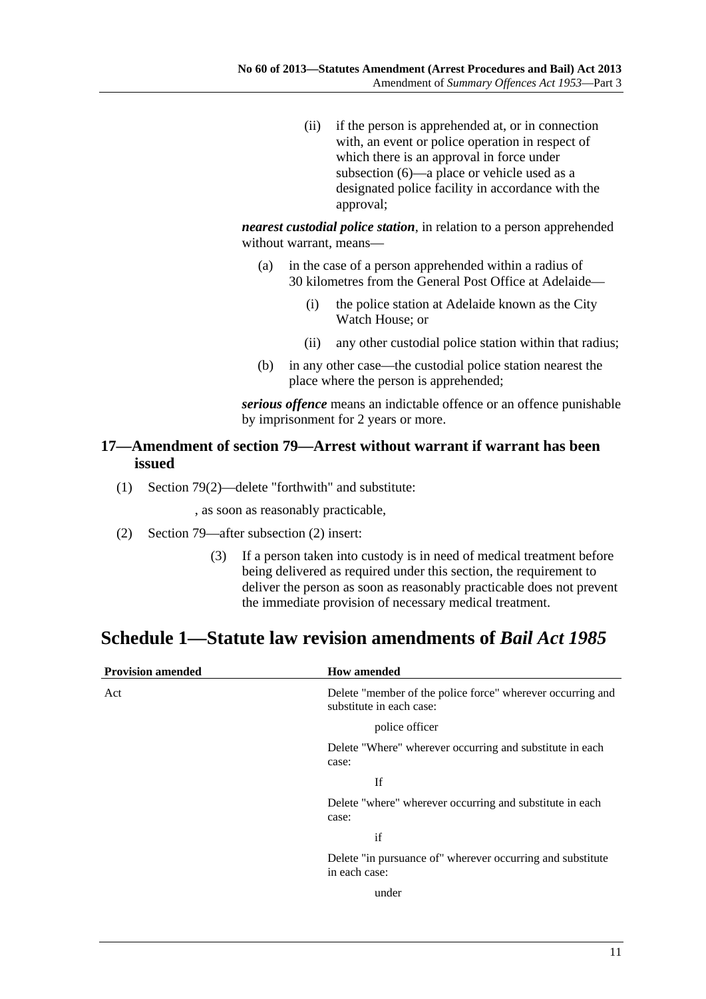<span id="page-10-0"></span> (ii) if the person is apprehended at, or in connection with, an event or police operation in respect of which there is an approval in force under [subsection \(6\)](#page-8-0)—a place or vehicle used as a designated police facility in accordance with the approval;

*nearest custodial police station*, in relation to a person apprehended without warrant, means—

- (a) in the case of a person apprehended within a radius of 30 kilometres from the General Post Office at Adelaide—
	- (i) the police station at Adelaide known as the City Watch House; or
	- (ii) any other custodial police station within that radius;
- (b) in any other case—the custodial police station nearest the place where the person is apprehended;

*serious offence* means an indictable offence or an offence punishable by imprisonment for 2 years or more.

#### **17—Amendment of section 79—Arrest without warrant if warrant has been issued**

(1) Section 79(2)—delete "forthwith" and substitute:

, as soon as reasonably practicable,

- (2) Section 79—after subsection (2) insert:
	- (3) If a person taken into custody is in need of medical treatment before being delivered as required under this section, the requirement to deliver the person as soon as reasonably practicable does not prevent the immediate provision of necessary medical treatment.

## **Schedule 1—Statute law revision amendments of** *Bail Act 1985*

| <b>Provision amended</b> | <b>How amended</b>                                                                     |
|--------------------------|----------------------------------------------------------------------------------------|
| Act                      | Delete "member of the police force" wherever occurring and<br>substitute in each case: |
|                          | police officer                                                                         |
|                          | Delete "Where" wherever occurring and substitute in each<br>case:                      |
|                          | If                                                                                     |
|                          | Delete "where" wherever occurring and substitute in each<br>case:                      |
|                          | if                                                                                     |
|                          | Delete "in pursuance of" wherever occurring and substitute<br>in each case:            |
|                          | under                                                                                  |
|                          |                                                                                        |